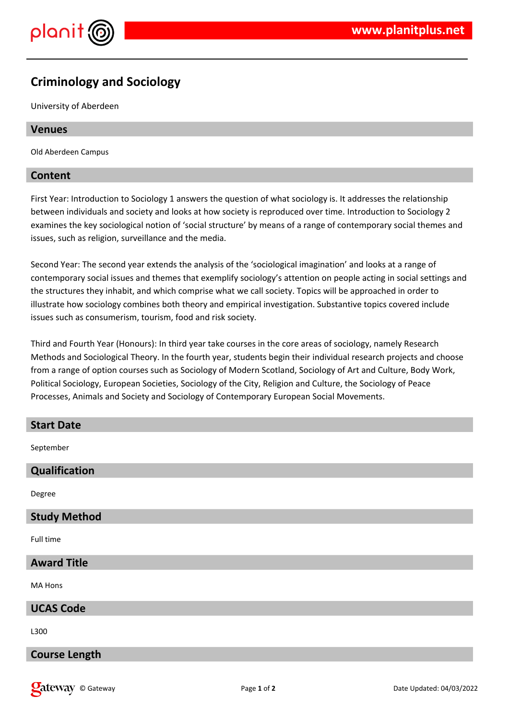

# **Criminology and Sociology**

University of Aberdeen

## **Venues**

Old Aberdeen Campus

## **Content**

First Year: Introduction to Sociology 1 answers the question of what sociology is. It addresses the relationship between individuals and society and looks at how society is reproduced over time. Introduction to Sociology 2 examines the key sociological notion of 'social structure' by means of a range of contemporary social themes and issues, such as religion, surveillance and the media.

Second Year: The second year extends the analysis of the 'sociological imagination' and looks at a range of contemporary social issues and themes that exemplify sociology's attention on people acting in social settings and the structures they inhabit, and which comprise what we call society. Topics will be approached in order to illustrate how sociology combines both theory and empirical investigation. Substantive topics covered include issues such as consumerism, tourism, food and risk society.

Third and Fourth Year (Honours): In third year take courses in the core areas of sociology, namely Research Methods and Sociological Theory. In the fourth year, students begin their individual research projects and choose from a range of option courses such as Sociology of Modern Scotland, Sociology of Art and Culture, Body Work, Political Sociology, European Societies, Sociology of the City, Religion and Culture, the Sociology of Peace Processes, Animals and Society and Sociology of Contemporary European Social Movements.

| <b>Start Date</b>    |
|----------------------|
| September            |
| Qualification        |
| Degree               |
| <b>Study Method</b>  |
| Full time            |
| <b>Award Title</b>   |
| MA Hons              |
| <b>UCAS Code</b>     |
| L300                 |
| <b>Course Length</b> |